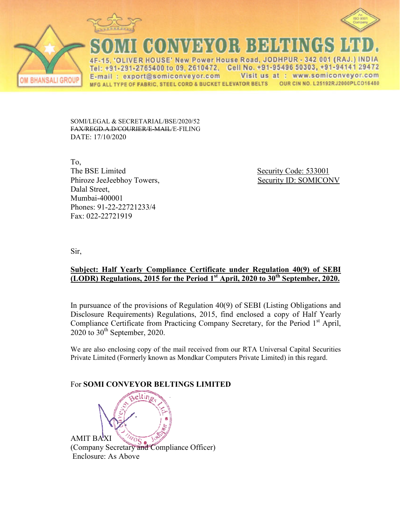



**CONVEYOR BELLE** 

VER HOUSE' New Power House Road, JODHPUR - 342 001 (RAJ.) INDIA : +91-291-2765400 to 09, 2610472, Cell No. +91-95496 50303, +91-94141 29472 Tel Visit us at : www.somiconveyor.com E-mail: export@somiconveyor.com MFG ALL TYPE OF FABRIC, STEEL CORD & BUCKET ELEVATOR BELTS OUR CIN NO. L25192RJ2000PLC016480

SOMI/LEGAL & SECRETARIAL/BSE/2020/52 FAX/REGD.A.D/COURIER/E ER/E-MAIL/E-FILING DATE: 17/10/2020

To, The BSE Limited Phiroze JeeJeebhoy Towers, Dalal Street, Mumbai-400001 Phones: 91-22-22721233/4 1233/4Fax: 022-22721919

Security Code: 533001 Towers, Security ID: SOMICONV

Sir,

**BHANSALI GROUP** 

## **<u>Subject: Half Yearly Compliance Certificate under Regulation 40(9) of SEBI</u> (LODR)** Regulations, 2015 for the Period 1<sup>st</sup> April, 2020 to 30<sup>th</sup> September, 2020.

In pursuance of the provisions of Regulation 40(9) of SEBI (Listing Obligations and Disclosure Requirements) Regulations, 2015, find enclosed a copy of Half Yearly Compliance Certificate from Practicing Company Secretary, for the Period 1<sup>st</sup> April,  $2020$  to  $30<sup>th</sup>$  September, 2020.

We are also enclosing copy of the mail received from our RTA Universal Capital Securities Private Limited (Formerly known as Mondkar Computers Private Limited) in this regard.

## **For SOMI CONVEYOR BELTINGS LIMITED**

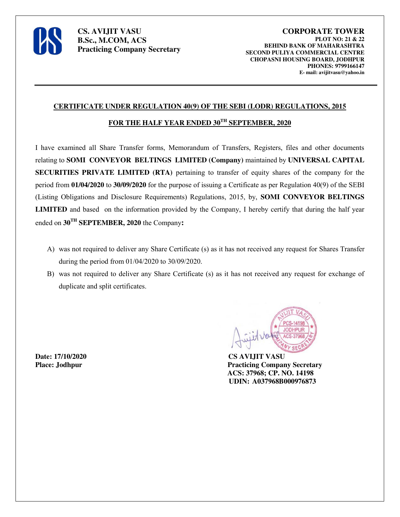

#### **CERTIFICATE UNDER REGULATION 40(9) OF THE SEBI (LODR) REGULATIONS, 2015**

### FOR THE HALF YEAR ENDED  $30^{TH}$  **SEPTEMBER, 2020**

I have examined all Share Transfer forms, Memorandum of Transfers, Registers, files and other documents relating to **SOMI CONVEYOR BELTINGS LIMITED (Company)** maintained by **UNIVERSAL CAPITAL SECURITIES PRIVATE LIMITED (RTA)** pertaining to transfer of equity shares of the company for the period from **01/04/2020** to **30/09/2020** for the purpose of issuing a Certificate as per Regulation 40(9) of the SEBI (Listing Obligations and Disclosure Requirements) Regulations, 2015, by, **SOMI CONVEYOR BELTINGS LIMITED** and based on the information provided by the Company, I hereby certify that during the half year ended on **30TH SEPTEMBER, 2020** the Company**:**

- A) was not required to deliver any Share Certificate (s) as it has not received any request for Shares Transfer during the period from 01/04/2020 to 30/09/2020.
- B) was not required to deliver any Share Certificate (s) as it has not received any request for exchange of duplicate and split certificates.

**Date: 17/10/2020 CS AVIJIT VASU**



**Place: Jodhpur Practicing Company Secretary ACS: 37968; CP. NO. 14198 UDIN: A037968B000976873**